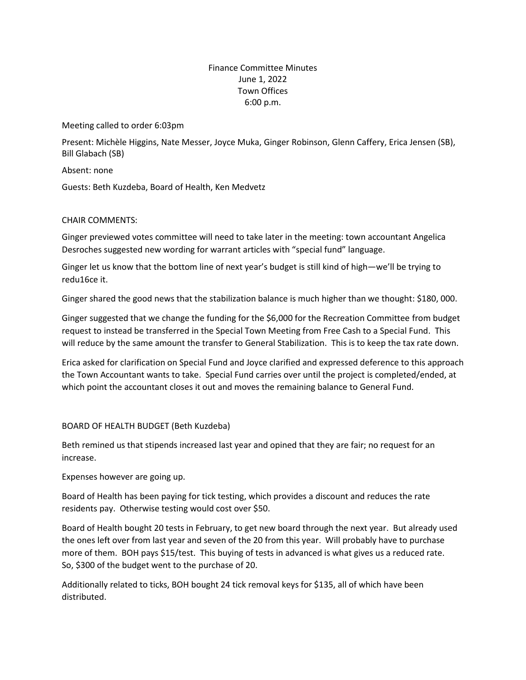# Finance Committee Minutes June 1, 2022 Town Offices 6:00 p.m.

Meeting called to order 6:03pm

Present: Michèle Higgins, Nate Messer, Joyce Muka, Ginger Robinson, Glenn Caffery, Erica Jensen (SB), Bill Glabach (SB)

Absent: none

Guests: Beth Kuzdeba, Board of Health, Ken Medvetz

## CHAIR COMMENTS:

Ginger previewed votes committee will need to take later in the meeting: town accountant Angelica Desroches suggested new wording for warrant articles with "special fund" language.

Ginger let us know that the bottom line of next year's budget is still kind of high—we'll be trying to redu16ce it.

Ginger shared the good news that the stabilization balance is much higher than we thought: \$180, 000.

Ginger suggested that we change the funding for the \$6,000 for the Recreation Committee from budget request to instead be transferred in the Special Town Meeting from Free Cash to a Special Fund. This will reduce by the same amount the transfer to General Stabilization. This is to keep the tax rate down.

Erica asked for clarification on Special Fund and Joyce clarified and expressed deference to this approach the Town Accountant wants to take. Special Fund carries over until the project is completed/ended, at which point the accountant closes it out and moves the remaining balance to General Fund.

## BOARD OF HEALTH BUDGET (Beth Kuzdeba)

Beth remined us that stipends increased last year and opined that they are fair; no request for an increase.

Expenses however are going up.

Board of Health has been paying for tick testing, which provides a discount and reduces the rate residents pay. Otherwise testing would cost over \$50.

Board of Health bought 20 tests in February, to get new board through the next year. But already used the ones left over from last year and seven of the 20 from this year. Will probably have to purchase more of them. BOH pays \$15/test. This buying of tests in advanced is what gives us a reduced rate. So, \$300 of the budget went to the purchase of 20.

Additionally related to ticks, BOH bought 24 tick removal keys for \$135, all of which have been distributed.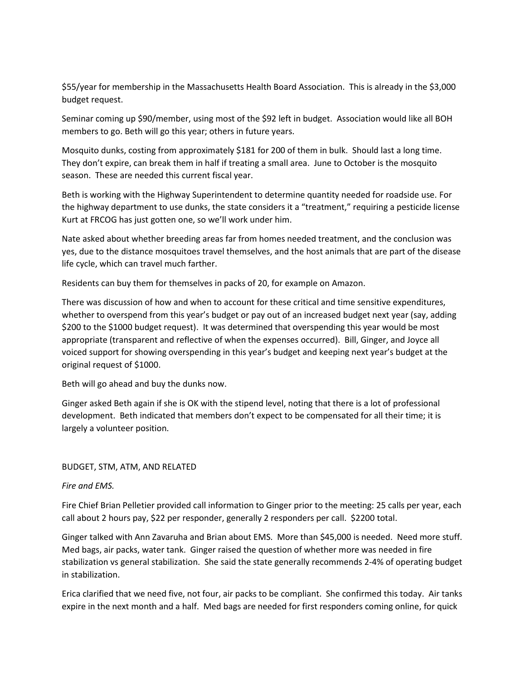\$55/year for membership in the Massachusetts Health Board Association. This is already in the \$3,000 budget request.

Seminar coming up \$90/member, using most of the \$92 left in budget. Association would like all BOH members to go. Beth will go this year; others in future years.

Mosquito dunks, costing from approximately \$181 for 200 of them in bulk. Should last a long time. They don't expire, can break them in half if treating a small area. June to October is the mosquito season. These are needed this current fiscal year.

Beth is working with the Highway Superintendent to determine quantity needed for roadside use. For the highway department to use dunks, the state considers it a "treatment," requiring a pesticide license Kurt at FRCOG has just gotten one, so we'll work under him.

Nate asked about whether breeding areas far from homes needed treatment, and the conclusion was yes, due to the distance mosquitoes travel themselves, and the host animals that are part of the disease life cycle, which can travel much farther.

Residents can buy them for themselves in packs of 20, for example on Amazon.

There was discussion of how and when to account for these critical and time sensitive expenditures, whether to overspend from this year's budget or pay out of an increased budget next year (say, adding \$200 to the \$1000 budget request). It was determined that overspending this year would be most appropriate (transparent and reflective of when the expenses occurred). Bill, Ginger, and Joyce all voiced support for showing overspending in this year's budget and keeping next year's budget at the original request of \$1000.

Beth will go ahead and buy the dunks now.

Ginger asked Beth again if she is OK with the stipend level, noting that there is a lot of professional development. Beth indicated that members don't expect to be compensated for all their time; it is largely a volunteer position.

### BUDGET, STM, ATM, AND RELATED

### *Fire and EMS.*

Fire Chief Brian Pelletier provided call information to Ginger prior to the meeting: 25 calls per year, each call about 2 hours pay, \$22 per responder, generally 2 responders per call. \$2200 total.

Ginger talked with Ann Zavaruha and Brian about EMS. More than \$45,000 is needed. Need more stuff. Med bags, air packs, water tank. Ginger raised the question of whether more was needed in fire stabilization vs general stabilization. She said the state generally recommends 2-4% of operating budget in stabilization.

Erica clarified that we need five, not four, air packs to be compliant. She confirmed this today. Air tanks expire in the next month and a half. Med bags are needed for first responders coming online, for quick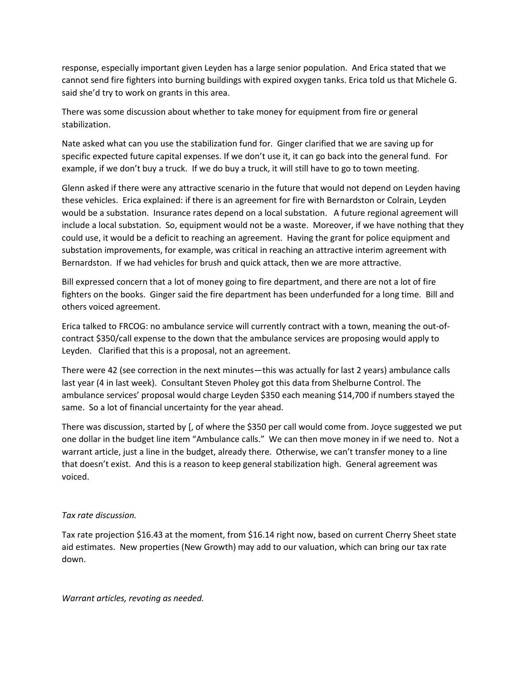response, especially important given Leyden has a large senior population. And Erica stated that we cannot send fire fighters into burning buildings with expired oxygen tanks. Erica told us that Michele G. said she'd try to work on grants in this area.

There was some discussion about whether to take money for equipment from fire or general stabilization.

Nate asked what can you use the stabilization fund for. Ginger clarified that we are saving up for specific expected future capital expenses. If we don't use it, it can go back into the general fund. For example, if we don't buy a truck. If we do buy a truck, it will still have to go to town meeting.

Glenn asked if there were any attractive scenario in the future that would not depend on Leyden having these vehicles. Erica explained: if there is an agreement for fire with Bernardston or Colrain, Leyden would be a substation. Insurance rates depend on a local substation. A future regional agreement will include a local substation. So, equipment would not be a waste. Moreover, if we have nothing that they could use, it would be a deficit to reaching an agreement. Having the grant for police equipment and substation improvements, for example, was critical in reaching an attractive interim agreement with Bernardston. If we had vehicles for brush and quick attack, then we are more attractive.

Bill expressed concern that a lot of money going to fire department, and there are not a lot of fire fighters on the books. Ginger said the fire department has been underfunded for a long time. Bill and others voiced agreement.

Erica talked to FRCOG: no ambulance service will currently contract with a town, meaning the out-ofcontract \$350/call expense to the down that the ambulance services are proposing would apply to Leyden. Clarified that this is a proposal, not an agreement.

There were 42 (see correction in the next minutes—this was actually for last 2 years) ambulance calls last year (4 in last week). Consultant Steven Pholey got this data from Shelburne Control. The ambulance services' proposal would charge Leyden \$350 each meaning \$14,700 if numbers stayed the same. So a lot of financial uncertainty for the year ahead.

There was discussion, started by [, of where the \$350 per call would come from. Joyce suggested we put one dollar in the budget line item "Ambulance calls." We can then move money in if we need to. Not a warrant article, just a line in the budget, already there. Otherwise, we can't transfer money to a line that doesn't exist. And this is a reason to keep general stabilization high. General agreement was voiced.

## *Tax rate discussion.*

Tax rate projection \$16.43 at the moment, from \$16.14 right now, based on current Cherry Sheet state aid estimates. New properties (New Growth) may add to our valuation, which can bring our tax rate down.

*Warrant articles, revoting as needed.*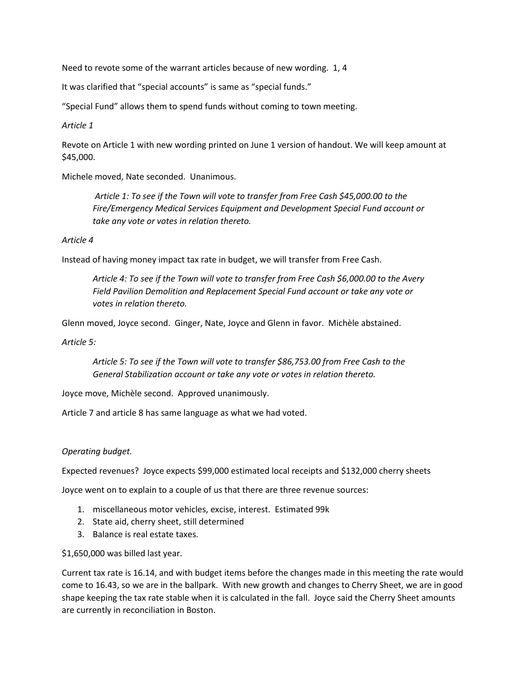Need to revote some of the warrant articles because of new wording. 1, 4

It was clarified that "special accounts" is same as "special funds."

"Special Fund" allows them to spend funds without coming to town meeting.

*Article 1*

Revote on Article 1 with new wording printed on June 1 version of handout. We will keep amount at \$45,000.

Michele moved, Nate seconded. Unanimous.

*Article 1: To see if the Town will vote to transfer from Free Cash \$45,000.00 to the Fire/Emergency Medical Services Equipment and Development Special Fund account or take any vote or votes in relation thereto.*

### *Article 4*

Instead of having money impact tax rate in budget, we will transfer from Free Cash.

*Article 4: To see if the Town will vote to transfer from Free Cash \$6,000.00 to the Avery Field Pavilion Demolition and Replacement Special Fund account or take any vote or votes in relation thereto.*

Glenn moved, Joyce second. Ginger, Nate, Joyce and Glenn in favor. Michèle abstained.

*Article 5:* 

*Article 5: To see if the Town will vote to transfer \$86,753.00 from Free Cash to the General Stabilization account or take any vote or votes in relation thereto.*

Joyce move, Michèle second. Approved unanimously.

Article 7 and article 8 has same language as what we had voted.

## *Operating budget.*

Expected revenues? Joyce expects \$99,000 estimated local receipts and \$132,000 cherry sheets

Joyce went on to explain to a couple of us that there are three revenue sources:

- 1. miscellaneous motor vehicles, excise, interest. Estimated 99k
- 2. State aid, cherry sheet, still determined
- 3. Balance is real estate taxes.

\$1,650,000 was billed last year.

Current tax rate is 16.14, and with budget items before the changes made in this meeting the rate would come to 16.43, so we are in the ballpark. With new growth and changes to Cherry Sheet, we are in good shape keeping the tax rate stable when it is calculated in the fall. Joyce said the Cherry Sheet amounts are currently in reconciliation in Boston.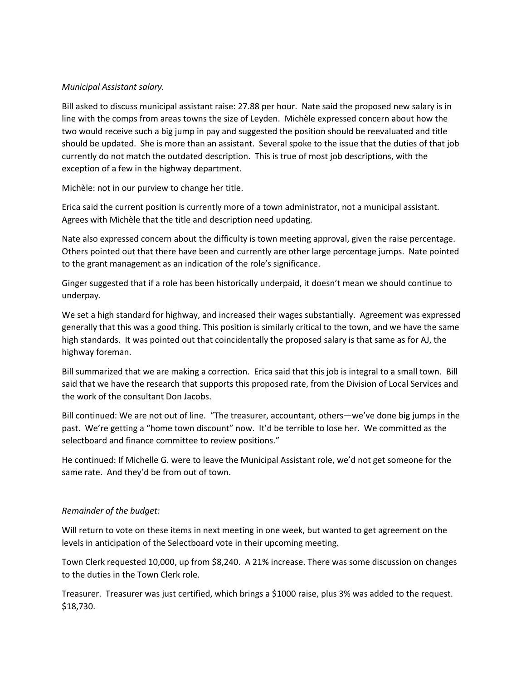# *Municipal Assistant salary.*

Bill asked to discuss municipal assistant raise: 27.88 per hour. Nate said the proposed new salary is in line with the comps from areas towns the size of Leyden. Michèle expressed concern about how the two would receive such a big jump in pay and suggested the position should be reevaluated and title should be updated. She is more than an assistant. Several spoke to the issue that the duties of that job currently do not match the outdated description. This is true of most job descriptions, with the exception of a few in the highway department.

Michèle: not in our purview to change her title.

Erica said the current position is currently more of a town administrator, not a municipal assistant. Agrees with Michèle that the title and description need updating.

Nate also expressed concern about the difficulty is town meeting approval, given the raise percentage. Others pointed out that there have been and currently are other large percentage jumps. Nate pointed to the grant management as an indication of the role's significance.

Ginger suggested that if a role has been historically underpaid, it doesn't mean we should continue to underpay.

We set a high standard for highway, and increased their wages substantially. Agreement was expressed generally that this was a good thing. This position is similarly critical to the town, and we have the same high standards. It was pointed out that coincidentally the proposed salary is that same as for AJ, the highway foreman.

Bill summarized that we are making a correction. Erica said that this job is integral to a small town. Bill said that we have the research that supports this proposed rate, from the Division of Local Services and the work of the consultant Don Jacobs.

Bill continued: We are not out of line. "The treasurer, accountant, others—we've done big jumps in the past. We're getting a "home town discount" now. It'd be terrible to lose her. We committed as the selectboard and finance committee to review positions."

He continued: If Michelle G. were to leave the Municipal Assistant role, we'd not get someone for the same rate. And they'd be from out of town.

# *Remainder of the budget:*

Will return to vote on these items in next meeting in one week, but wanted to get agreement on the levels in anticipation of the Selectboard vote in their upcoming meeting.

Town Clerk requested 10,000, up from \$8,240. A 21% increase. There was some discussion on changes to the duties in the Town Clerk role.

Treasurer. Treasurer was just certified, which brings a \$1000 raise, plus 3% was added to the request. \$18,730.